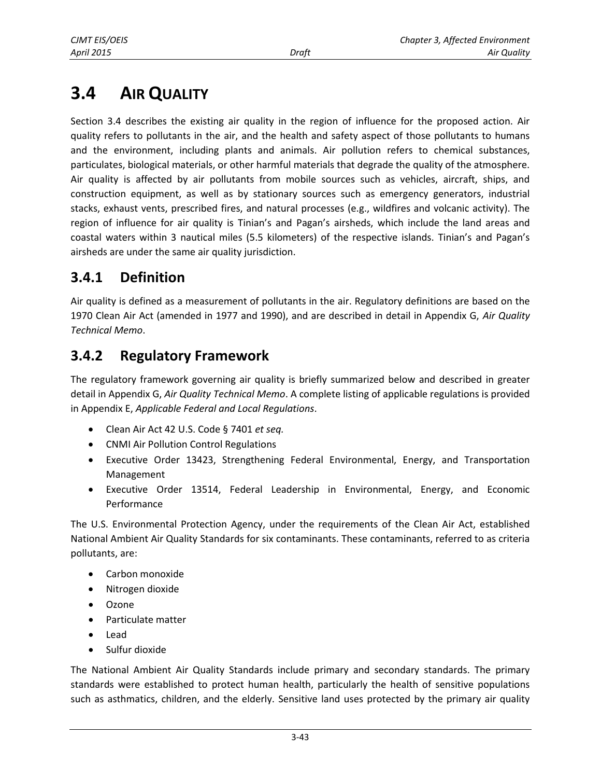# **3.4 AIR QUALITY**

Section 3.4 describes the existing air quality in the region of influence for the proposed action. Air quality refers to pollutants in the air, and the health and safety aspect of those pollutants to humans and the environment, including plants and animals. Air pollution refers to chemical substances, particulates, biological materials, or other harmful materials that degrade the quality of the atmosphere. Air quality is affected by air pollutants from mobile sources such as vehicles, aircraft, ships, and construction equipment, as well as by stationary sources such as emergency generators, industrial stacks, exhaust vents, prescribed fires, and natural processes (e.g., wildfires and volcanic activity). The region of influence for air quality is Tinian's and Pagan's airsheds, which include the land areas and coastal waters within 3 nautical miles (5.5 kilometers) of the respective islands. Tinian's and Pagan's airsheds are under the same air quality jurisdiction.

# **3.4.1 Definition**

Air quality is defined as a measurement of pollutants in the air. Regulatory definitions are based on the 1970 Clean Air Act (amended in 1977 and 1990), and are described in detail in Appendix G, *Air Quality Technical Memo*.

# **3.4.2 Regulatory Framework**

The regulatory framework governing air quality is briefly summarized below and described in greater detail in Appendix G, *Air Quality Technical Memo*. A complete listing of applicable regulations is provided in Appendix E, *Applicable Federal and Local Regulations*.

- Clean Air Act 42 U.S. Code § 7401 *et seq.*
- CNMI Air Pollution Control Regulations
- Executive Order 13423, Strengthening Federal Environmental, Energy, and Transportation Management
- Executive Order 13514, Federal Leadership in Environmental, Energy, and Economic Performance

The U.S. Environmental Protection Agency, under the requirements of the Clean Air Act, established National Ambient Air Quality Standards for six contaminants. These contaminants, referred to as criteria pollutants, are:

- Carbon monoxide
- Nitrogen dioxide
- Ozone
- Particulate matter
- Lead
- Sulfur dioxide

The National Ambient Air Quality Standards include primary and secondary standards. The primary standards were established to protect human health, particularly the health of sensitive populations such as asthmatics, children, and the elderly. Sensitive land uses protected by the primary air quality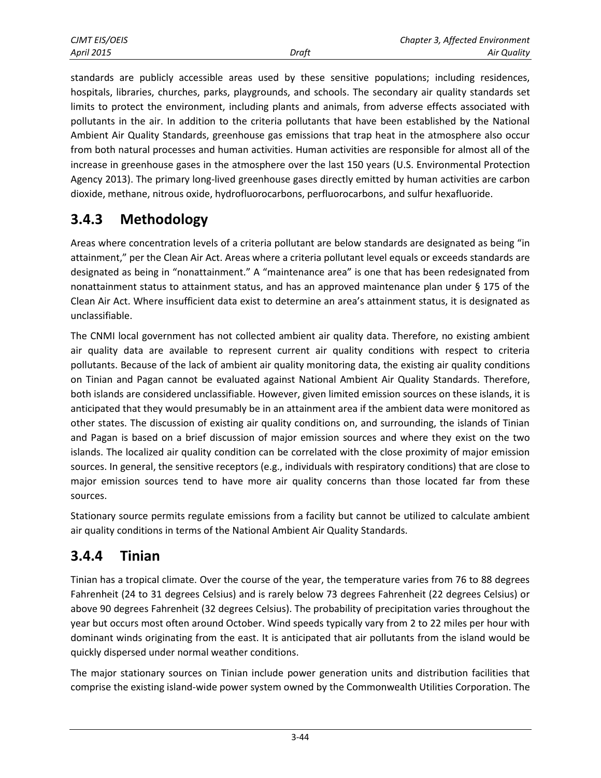standards are publicly accessible areas used by these sensitive populations; including residences, hospitals, libraries, churches, parks, playgrounds, and schools. The secondary air quality standards set limits to protect the environment, including plants and animals, from adverse effects associated with pollutants in the air. In addition to the criteria pollutants that have been established by the National Ambient Air Quality Standards, greenhouse gas emissions that trap heat in the atmosphere also occur from both natural processes and human activities. Human activities are responsible for almost all of the increase in greenhouse gases in the atmosphere over the last 150 years (U.S. Environmental Protection Agency 2013). The primary long-lived greenhouse gases directly emitted by human activities are carbon dioxide, methane, nitrous oxide, hydrofluorocarbons, perfluorocarbons, and sulfur hexafluoride.

### **3.4.3 Methodology**

Areas where concentration levels of a criteria pollutant are below standards are designated as being "in attainment," per the Clean Air Act. Areas where a criteria pollutant level equals or exceeds standards are designated as being in "nonattainment." A "maintenance area" is one that has been redesignated from nonattainment status to attainment status, and has an approved maintenance plan under § 175 of the Clean Air Act. Where insufficient data exist to determine an area's attainment status, it is designated as unclassifiable.

The CNMI local government has not collected ambient air quality data. Therefore, no existing ambient air quality data are available to represent current air quality conditions with respect to criteria pollutants. Because of the lack of ambient air quality monitoring data, the existing air quality conditions on Tinian and Pagan cannot be evaluated against National Ambient Air Quality Standards. Therefore, both islands are considered unclassifiable. However, given limited emission sources on these islands, it is anticipated that they would presumably be in an attainment area if the ambient data were monitored as other states. The discussion of existing air quality conditions on, and surrounding, the islands of Tinian and Pagan is based on a brief discussion of major emission sources and where they exist on the two islands. The localized air quality condition can be correlated with the close proximity of major emission sources. In general, the sensitive receptors (e.g., individuals with respiratory conditions) that are close to major emission sources tend to have more air quality concerns than those located far from these sources.

Stationary source permits regulate emissions from a facility but cannot be utilized to calculate ambient air quality conditions in terms of the National Ambient Air Quality Standards.

### **3.4.4 Tinian**

Tinian has a tropical climate. Over the course of the year, the temperature varies from 76 to 88 degrees Fahrenheit (24 to 31 degrees Celsius) and is rarely below 73 degrees Fahrenheit (22 degrees Celsius) or above 90 degrees Fahrenheit (32 degrees Celsius). The probability of precipitation varies throughout the year but occurs most often around October. Wind speeds typically vary from 2 to 22 miles per hour with dominant winds originating from the east. It is anticipated that air pollutants from the island would be quickly dispersed under normal weather conditions.

The major stationary sources on Tinian include power generation units and distribution facilities that comprise the existing island-wide power system owned by the Commonwealth Utilities Corporation. The